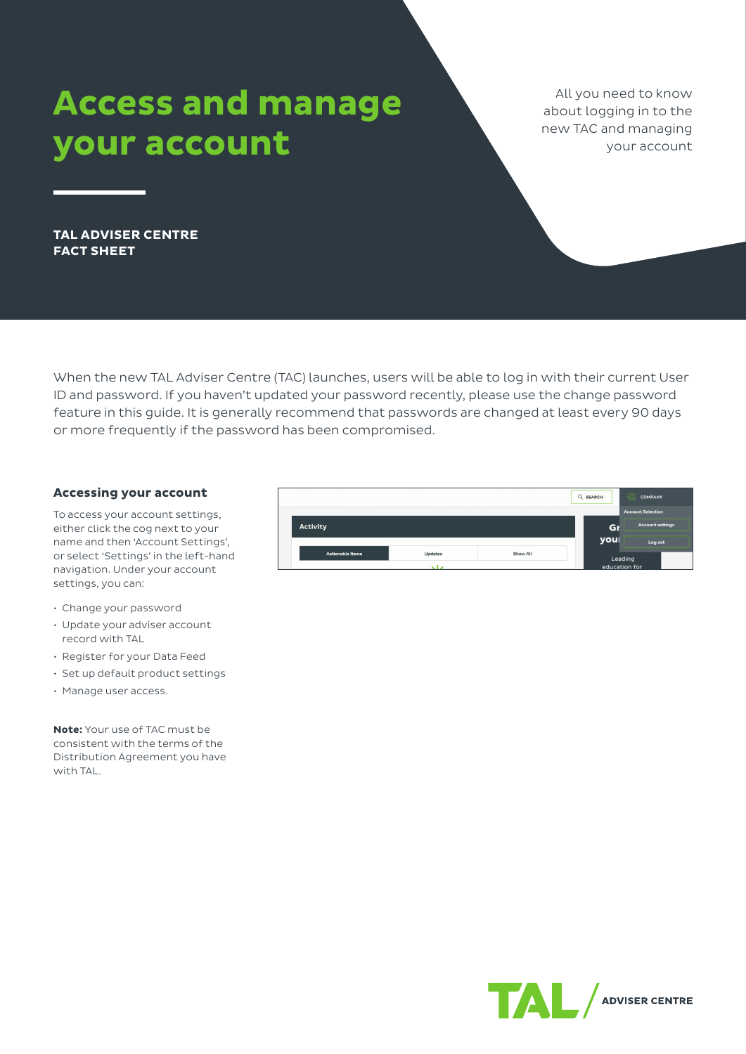# **Access and manage your account**

All you need to know about logging in to the new TAC and managing your account

**TAL ADVISER CENTRE FACT SHEET**

When the new TAL Adviser Centre (TAC) launches, users will be able to log in with their current User ID and password. If you haven't updated your password recently, please use the change password feature in this guide. It is generally recommend that passwords are changed at least every 90 days or more frequently if the password has been compromised.

## **Accessing your account**

To access your account settings, either click the cog next to your name and then 'Account Settings', or select 'Settings' in the left-hand navigation. Under your account settings, you can:

- Change your password
- Update your adviser account record with TAL
- Register for your Data Feed
- Set up default product settings
- Manage user access.

**Note:** Your use of TAC must be consistent with the terms of the Distribution Agreement you have with TAL.

|                         |                |          | Q SEARCH      | Õ<br><b>COMPANY</b>      |
|-------------------------|----------------|----------|---------------|--------------------------|
|                         |                |          |               | <b>Account Selection</b> |
| <b>Activity</b>         |                |          | Gı            | <b>Account settings</b>  |
|                         |                |          | you           | Log out                  |
| <b>Actionable Items</b> | <b>Updates</b> | Show All | Leading       |                          |
|                         | $\sim$         |          | education for |                          |

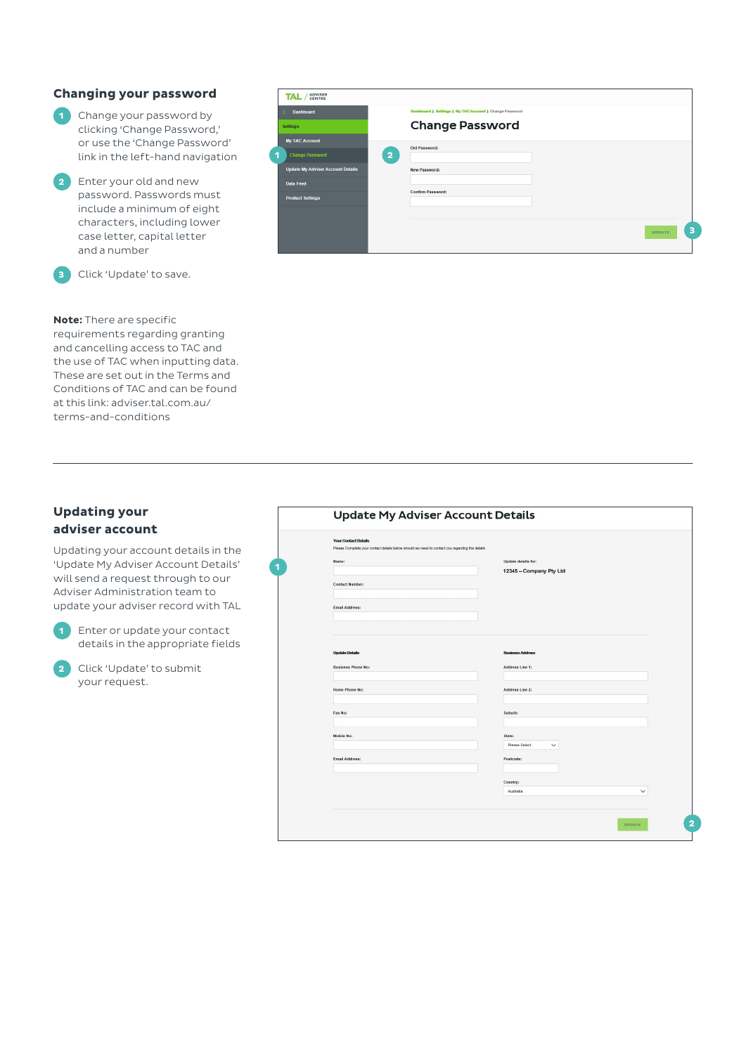## **Changing your password**

- **1** Change your password by clicking 'Change Password,' or use the 'Change Password' link in the left-hand navigation
- **2** Enter your old and new password. Passwords must include a minimum of eight characters, including lower case letter, capital letter and a number

**3** Click 'Update' to save.

# **Note:** There are specific

requirements regarding granting and cancelling access to TAC and the use of TAC when inputting data. These are set out in the Terms and Conditions of TAC and can be found at this link: adviser.tal.com.au/ terms-and-conditions

| <b>Dashboard</b>                         | Dashboard   Settings   My TAC Account   Change Password |  |
|------------------------------------------|---------------------------------------------------------|--|
| <b>Settings</b>                          | <b>Change Password</b>                                  |  |
| <b>My TAC Account</b>                    | Old Password:                                           |  |
| <b>Change Password</b>                   | $\overline{2}$                                          |  |
| <b>Update My Adviser Account Details</b> | New Password:                                           |  |
| Data Feed                                |                                                         |  |
| <b>Product Settings</b>                  | Confirm Password:                                       |  |
|                                          |                                                         |  |
|                                          |                                                         |  |

# **Updating your adviser account**

Updating your account details in the 'Update My Adviser Account Details' will send a request through to our Adviser Administration team to update your adviser record with TAL

**1** Enter or update your contact details in the appropriate fields

**2** Click 'Update' to submit your request.

| <b>Your Contact Datails</b><br>Please Complete your contact details below should we need to contact you regarding the details |                              |
|-------------------------------------------------------------------------------------------------------------------------------|------------------------------|
| Name:                                                                                                                         | Update details for:          |
|                                                                                                                               | 12345 - Company Pty Ltd      |
| <b>Contact Number:</b>                                                                                                        |                              |
|                                                                                                                               |                              |
| Email Address:                                                                                                                |                              |
|                                                                                                                               |                              |
|                                                                                                                               |                              |
| <b>Updato Dotails</b>                                                                                                         | <b>Business Address</b>      |
| <b>Business Phone No:</b>                                                                                                     | Address Line 1:              |
| <b>Home Phone No:</b>                                                                                                         | Address Line 2:              |
|                                                                                                                               |                              |
| Fax No:                                                                                                                       | Suburb:                      |
|                                                                                                                               |                              |
| Mobile No:                                                                                                                    | State:                       |
|                                                                                                                               | Please Select<br>$\check{~}$ |
| Email Address:                                                                                                                | Postcode:                    |
|                                                                                                                               |                              |
|                                                                                                                               | Country:                     |
|                                                                                                                               | Australia<br>$\check{~}$     |
|                                                                                                                               |                              |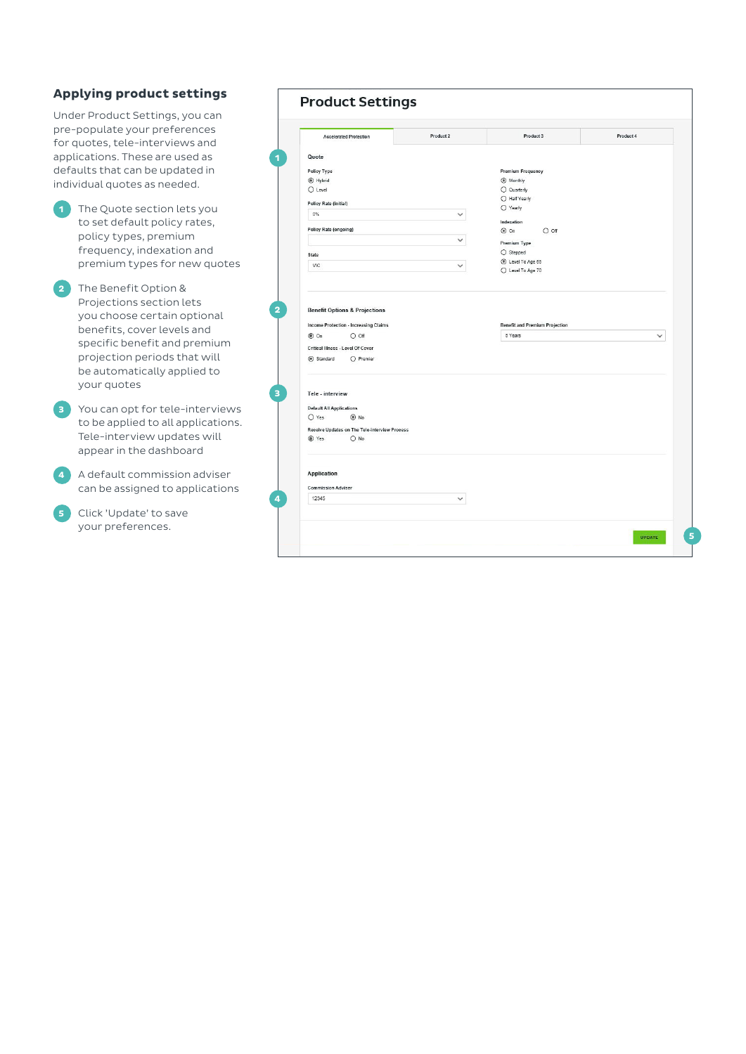# **Applying product settings**

Under Product Settings, you can pre-populate your preferences for quotes, tele-interviews and applications. These are used as defaults that can be updated in individual quotes as needed.

- **1** The Quote section lets you to set default policy rates, policy types, premium frequency, indexation and premium types for new quotes
- **2** The Benefit Option & Projections section lets you choose certain optional benefits, cover levels and specific benefit and premium projection periods that will be automatically applied to your quotes
- **3** You can opt for tele-interviews to be applied to all applications. Tele-interview updates will appear in the dashboard
- **4** A default commission adviser can be assigned to applications
- **5** Click 'Update' to save your preferences.

| <b>Accelerated Protection</b>                                                                                                                        | Product 2    | Product 3                                                             | Product 4    |
|------------------------------------------------------------------------------------------------------------------------------------------------------|--------------|-----------------------------------------------------------------------|--------------|
| Quote                                                                                                                                                |              |                                                                       |              |
| <b>Policy Type</b>                                                                                                                                   |              | <b>Premium Frequency</b>                                              |              |
| $\odot$ Hybrid                                                                                                                                       |              | <b>◎</b> Monthly                                                      |              |
| $O$ Level                                                                                                                                            |              | O Quarterly                                                           |              |
| <b>Policy Rate (initial)</b>                                                                                                                         |              | O Half Yearly                                                         |              |
| 0%                                                                                                                                                   | $\checkmark$ | O Yearly                                                              |              |
| Policy Rate (ongoing)                                                                                                                                |              | Indexation                                                            |              |
|                                                                                                                                                      | $\check{ }$  | $\odot$ On<br>$O$ off                                                 |              |
|                                                                                                                                                      |              | Premium Type                                                          |              |
| State                                                                                                                                                |              | $O$ Stepped<br>Level To Age 65                                        |              |
| VIC                                                                                                                                                  | $\check{ }$  |                                                                       |              |
| <b>Benefit Options &amp; Projections</b><br>Income Protection - Increasing Claims<br>O off<br>$\circ$ On<br><b>Critical Illness - Level Of Cover</b> |              | O Level To Age 70<br><b>Benefit and Premium Projection</b><br>5 Years | $\checkmark$ |
| $O$ Premier<br>Standard                                                                                                                              |              |                                                                       |              |
|                                                                                                                                                      |              |                                                                       |              |
| Tele - interview                                                                                                                                     |              |                                                                       |              |
| <b>Default All Applications</b>                                                                                                                      |              |                                                                       |              |
| O Yes<br>$\odot$ No                                                                                                                                  |              |                                                                       |              |
| Receive Updates on The Tele-interview Process<br>◉ Yes<br>$O$ No                                                                                     |              |                                                                       |              |
|                                                                                                                                                      |              |                                                                       |              |
| <b>Application</b>                                                                                                                                   |              |                                                                       |              |
| <b>Commission Adviser</b>                                                                                                                            |              |                                                                       |              |
| 12345                                                                                                                                                | $\checkmark$ |                                                                       |              |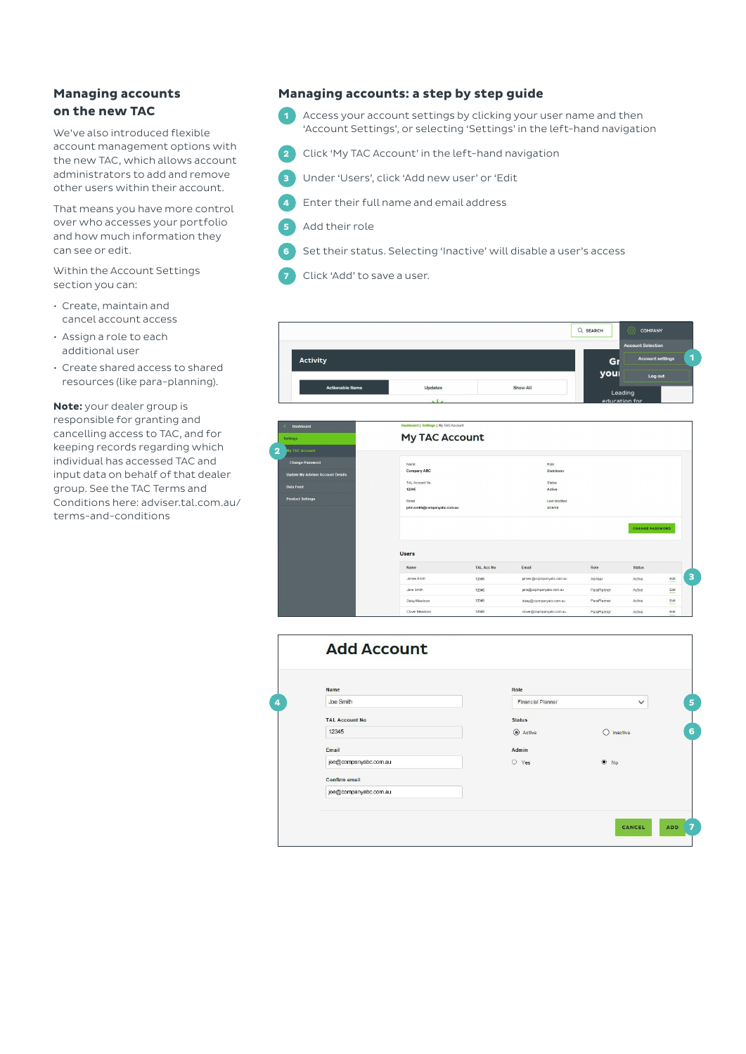## **Managing accounts on the new TAC**

We've also introduced flexible account management options with the new TAC, which allows account administrators to add and remove other users within their account.

That means you have more control over who accesses your portfolio and how much information they can see or edit.

Within the Account Settings section you can:

- Create, maintain and cancel account access
- Assign a role to each additional user
- Create shared access to shared resources (like para-planning).

**Note:** your dealer group is responsible for granting and cancelling access to TAC, and for keeping records regarding which individual has accessed TAC and input data on behalf of that dealer group. See the TAC Terms and Conditions here: adviser.tal.com.au/ terms-and-conditions

## **Managing accounts: a step by step guide**

- **1** Access your account settings by clicking your user name and then 'Account Settings', or selecting 'Settings' in the left-hand navigation
- **2** Click 'My TAC Account' in the left-hand navigation
- **3** Under 'Users', click 'Add new user' or 'Edit
- **4** Enter their full name and email address
- **5** Add their role
- **6** Set their status. Selecting 'Inactive' will disable a user's access
- **7** Click 'Add' to save a user.



| <b>Dashboard</b>                         | <b>Dashboard   Saffings   My TAC Account</b> |                   |                           |             |                        |            |  |
|------------------------------------------|----------------------------------------------|-------------------|---------------------------|-------------|------------------------|------------|--|
| <b>Settings</b>                          | <b>My TAC Account</b>                        |                   |                           |             |                        |            |  |
| 2<br><b>My TAC Account</b>               |                                              |                   |                           |             |                        |            |  |
| <b>Change Password</b>                   | <b>Name</b>                                  |                   | Role                      |             |                        |            |  |
| <b>Update My Adviser Account Details</b> | Company ABC                                  |                   | Distributor               |             |                        |            |  |
| <b>Data Feed</b>                         | TAL Account No.                              |                   | Status                    |             |                        |            |  |
|                                          | 12345                                        |                   | Active                    |             |                        |            |  |
| <b>Product Settings</b>                  | Email                                        |                   | Last Modified             |             |                        |            |  |
|                                          | john.smith@companyabc.com.au                 |                   | 23/5/18                   |             |                        |            |  |
|                                          | <b>Users</b>                                 |                   |                           |             | <b>CHANGE PASSWORD</b> |            |  |
|                                          | Name                                         | <b>TAL Acc No</b> | Email                     | Role        | <b>Status</b>          |            |  |
|                                          | James Smith                                  | 12345             | james.@copmpanyabc.com.au | Adviser     | Active                 | Edit       |  |
|                                          | Jane Smith                                   | 12345             | jane@copmpanyabc.com.au   | ParaPlanner | Active                 | Edit<br>ــ |  |
|                                          | Daisy Meadows                                | 12345             | daisy@copmpanyabc.com.au  | ParaPlanner | Active                 | Edit       |  |
|                                          | Clover Meadows                               | 12345             | clover@copmpanyabc.com.au | ParaPlanner | Active                 | Edit       |  |

| <b>Name</b>           | Role                     |               |
|-----------------------|--------------------------|---------------|
| Joe Smith             | <b>Financial Planner</b> | $\checkmark$  |
| <b>TAL Account No</b> | <b>Status</b>            |               |
| 12345                 | $\odot$ Active           | ∩<br>Inactive |
| Email                 | <b>Admin</b>             |               |
| joe@companyabc.com.au | O Yes                    | $\odot$ No    |
| Confirm email         |                          |               |
| joe@companyabc.com.au |                          |               |